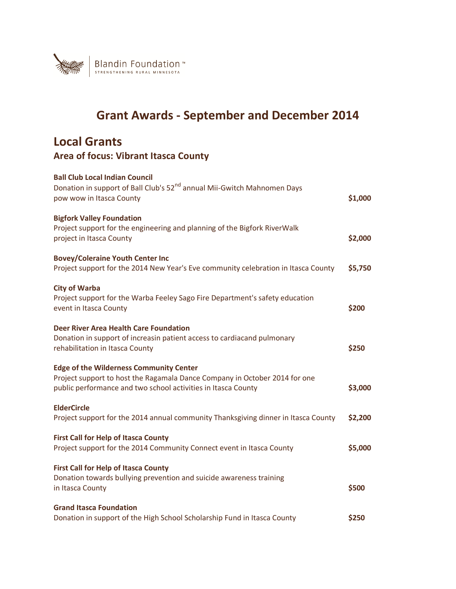

# **Grant Awards - September and December 2014**

## **Local Grants Area of focus: Vibrant Itasca County**

| <b>Ball Club Local Indian Council</b><br>Donation in support of Ball Club's 52 <sup>nd</sup> annual Mii-Gwitch Mahnomen Days<br>pow wow in Itasca County                                      | \$1,000 |
|-----------------------------------------------------------------------------------------------------------------------------------------------------------------------------------------------|---------|
| <b>Bigfork Valley Foundation</b><br>Project support for the engineering and planning of the Bigfork RiverWalk<br>project in Itasca County                                                     | \$2,000 |
| <b>Bovey/Coleraine Youth Center Inc</b><br>Project support for the 2014 New Year's Eve community celebration in Itasca County                                                                 | \$5,750 |
| <b>City of Warba</b><br>Project support for the Warba Feeley Sago Fire Department's safety education<br>event in Itasca County                                                                | \$200   |
| <b>Deer River Area Health Care Foundation</b><br>Donation in support of increasin patient access to cardiacand pulmonary<br>rehabilitation in Itasca County                                   | \$250   |
| <b>Edge of the Wilderness Community Center</b><br>Project support to host the Ragamala Dance Company in October 2014 for one<br>public performance and two school activities in Itasca County | \$3,000 |
| <b>ElderCircle</b><br>Project support for the 2014 annual community Thanksgiving dinner in Itasca County                                                                                      | \$2,200 |
| <b>First Call for Help of Itasca County</b><br>Project support for the 2014 Community Connect event in Itasca County                                                                          | \$5,000 |
| <b>First Call for Help of Itasca County</b><br>Donation towards bullying prevention and suicide awareness training<br>in Itasca County                                                        | \$500   |
| <b>Grand Itasca Foundation</b><br>Donation in support of the High School Scholarship Fund in Itasca County                                                                                    | \$250   |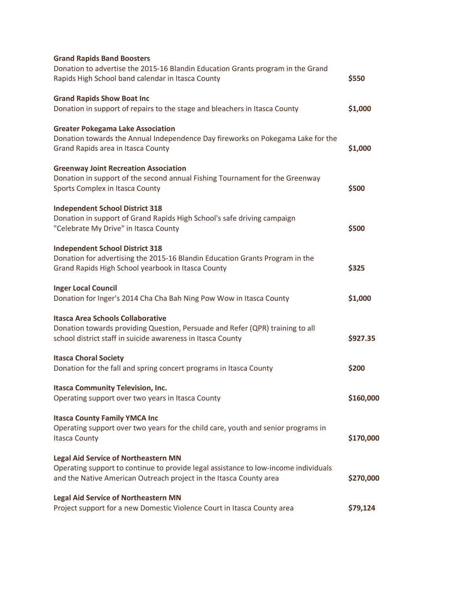| <b>Grand Rapids Band Boosters</b><br>Donation to advertise the 2015-16 Blandin Education Grants program in the Grand                                      |           |
|-----------------------------------------------------------------------------------------------------------------------------------------------------------|-----------|
| Rapids High School band calendar in Itasca County                                                                                                         | \$550     |
| <b>Grand Rapids Show Boat Inc</b>                                                                                                                         |           |
| Donation in support of repairs to the stage and bleachers in Itasca County                                                                                | \$1,000   |
| <b>Greater Pokegama Lake Association</b>                                                                                                                  |           |
| Donation towards the Annual Independence Day fireworks on Pokegama Lake for the<br>Grand Rapids area in Itasca County                                     | \$1,000   |
| <b>Greenway Joint Recreation Association</b>                                                                                                              |           |
| Donation in support of the second annual Fishing Tournament for the Greenway<br>Sports Complex in Itasca County                                           | \$500     |
| <b>Independent School District 318</b>                                                                                                                    |           |
| Donation in support of Grand Rapids High School's safe driving campaign<br>"Celebrate My Drive" in Itasca County                                          | \$500     |
| <b>Independent School District 318</b>                                                                                                                    |           |
| Donation for advertising the 2015-16 Blandin Education Grants Program in the<br>Grand Rapids High School yearbook in Itasca County                        | \$325     |
| <b>Inger Local Council</b><br>Donation for Inger's 2014 Cha Cha Bah Ning Pow Wow in Itasca County                                                         | \$1,000   |
|                                                                                                                                                           |           |
| <b>Itasca Area Schools Collaborative</b><br>Donation towards providing Question, Persuade and Refer (QPR) training to all                                 |           |
| school district staff in suicide awareness in Itasca County                                                                                               | \$927.35  |
| <b>Itasca Choral Society</b>                                                                                                                              |           |
| Donation for the fall and spring concert programs in Itasca County                                                                                        | \$200     |
| <b>Itasca Community Television, Inc.</b>                                                                                                                  |           |
| Operating support over two years in Itasca County                                                                                                         | \$160,000 |
| <b>Itasca County Family YMCA Inc</b>                                                                                                                      |           |
| Operating support over two years for the child care, youth and senior programs in<br><b>Itasca County</b>                                                 | \$170,000 |
| <b>Legal Aid Service of Northeastern MN</b>                                                                                                               |           |
| Operating support to continue to provide legal assistance to low-income individuals<br>and the Native American Outreach project in the Itasca County area | \$270,000 |
| <b>Legal Aid Service of Northeastern MN</b>                                                                                                               |           |
| Project support for a new Domestic Violence Court in Itasca County area                                                                                   | \$79,124  |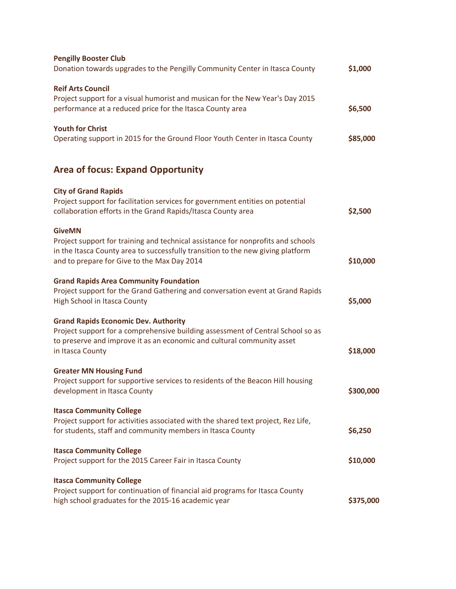| <b>Pengilly Booster Club</b><br>Donation towards upgrades to the Pengilly Community Center in Itasca County                                                                                                                         | \$1,000   |
|-------------------------------------------------------------------------------------------------------------------------------------------------------------------------------------------------------------------------------------|-----------|
| <b>Reif Arts Council</b><br>Project support for a visual humorist and musican for the New Year's Day 2015<br>performance at a reduced price for the Itasca County area                                                              | \$6,500   |
| <b>Youth for Christ</b><br>Operating support in 2015 for the Ground Floor Youth Center in Itasca County                                                                                                                             | \$85,000  |
| <b>Area of focus: Expand Opportunity</b>                                                                                                                                                                                            |           |
| <b>City of Grand Rapids</b><br>Project support for facilitation services for government entities on potential<br>collaboration efforts in the Grand Rapids/Itasca County area                                                       | \$2,500   |
| <b>GiveMN</b><br>Project support for training and technical assistance for nonprofits and schools<br>in the Itasca County area to successfully transition to the new giving platform<br>and to prepare for Give to the Max Day 2014 | \$10,000  |
| <b>Grand Rapids Area Community Foundation</b><br>Project support for the Grand Gathering and conversation event at Grand Rapids<br>High School in Itasca County                                                                     | \$5,000   |
| <b>Grand Rapids Economic Dev. Authority</b><br>Project support for a comprehensive building assessment of Central School so as<br>to preserve and improve it as an economic and cultural community asset<br>in Itasca County        | \$18,000  |
| <b>Greater MN Housing Fund</b><br>Project support for supportive services to residents of the Beacon Hill housing<br>development in Itasca County                                                                                   | \$300,000 |
| <b>Itasca Community College</b><br>Project support for activities associated with the shared text project, Rez Life,<br>for students, staff and community members in Itasca County                                                  | \$6,250   |
| <b>Itasca Community College</b><br>Project support for the 2015 Career Fair in Itasca County                                                                                                                                        | \$10,000  |
| <b>Itasca Community College</b><br>Project support for continuation of financial aid programs for Itasca County<br>high school graduates for the 2015-16 academic year                                                              | \$375,000 |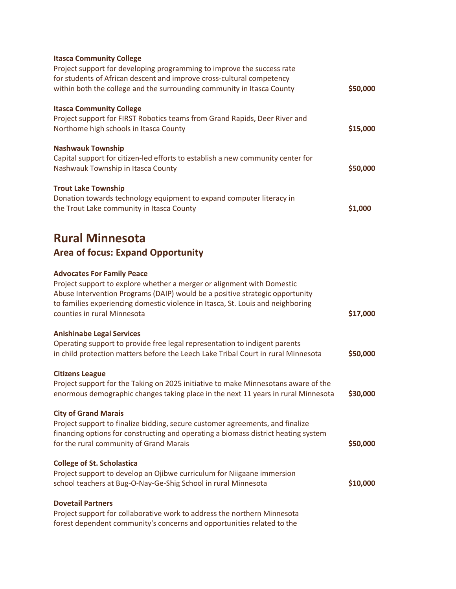| <b>Itasca Community College</b><br>Project support for developing programming to improve the success rate<br>for students of African descent and improve cross-cultural competency<br>within both the college and the surrounding community in Itasca County                                                  | \$50,000 |
|---------------------------------------------------------------------------------------------------------------------------------------------------------------------------------------------------------------------------------------------------------------------------------------------------------------|----------|
| <b>Itasca Community College</b><br>Project support for FIRST Robotics teams from Grand Rapids, Deer River and<br>Northome high schools in Itasca County                                                                                                                                                       | \$15,000 |
| <b>Nashwauk Township</b><br>Capital support for citizen-led efforts to establish a new community center for<br>Nashwauk Township in Itasca County                                                                                                                                                             | \$50,000 |
| <b>Trout Lake Township</b><br>Donation towards technology equipment to expand computer literacy in<br>the Trout Lake community in Itasca County                                                                                                                                                               | \$1,000  |
| <b>Rural Minnesota</b><br><b>Area of focus: Expand Opportunity</b>                                                                                                                                                                                                                                            |          |
| <b>Advocates For Family Peace</b><br>Project support to explore whether a merger or alignment with Domestic<br>Abuse Intervention Programs (DAIP) would be a positive strategic opportunity<br>to families experiencing domestic violence in Itasca, St. Louis and neighboring<br>counties in rural Minnesota | \$17,000 |
| <b>Anishinabe Legal Services</b><br>Operating support to provide free legal representation to indigent parents<br>in child protection matters before the Leech Lake Tribal Court in rural Minnesota                                                                                                           | \$50,000 |
| <b>Citizens League</b><br>Project support for the Taking on 2025 initiative to make Minnesotans aware of the<br>enormous demographic changes taking place in the next 11 years in rural Minnesota                                                                                                             | \$30,000 |
| <b>City of Grand Marais</b><br>Project support to finalize bidding, secure customer agreements, and finalize<br>financing options for constructing and operating a biomass district heating system<br>for the rural community of Grand Marais                                                                 | \$50,000 |
| <b>College of St. Scholastica</b><br>Project support to develop an Ojibwe curriculum for Niigaane immersion<br>school teachers at Bug-O-Nay-Ge-Shig School in rural Minnesota                                                                                                                                 | \$10,000 |
| <b>Dovetail Partners</b><br>Project support for collaborative work to address the northern Minnesota<br>forest dependent community's concerns and opportunities related to the                                                                                                                                |          |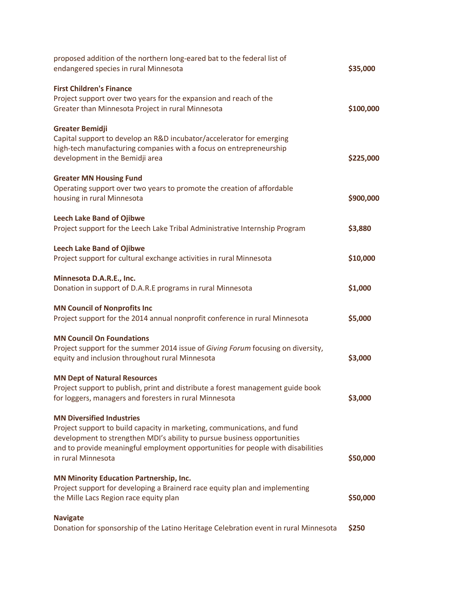| proposed addition of the northern long-eared bat to the federal list of<br>endangered species in rural Minnesota | \$35,000  |
|------------------------------------------------------------------------------------------------------------------|-----------|
| <b>First Children's Finance</b>                                                                                  |           |
| Project support over two years for the expansion and reach of the                                                |           |
| Greater than Minnesota Project in rural Minnesota                                                                | \$100,000 |
| <b>Greater Bemidji</b>                                                                                           |           |
| Capital support to develop an R&D incubator/accelerator for emerging                                             |           |
| high-tech manufacturing companies with a focus on entrepreneurship                                               |           |
| development in the Bemidji area                                                                                  | \$225,000 |
| <b>Greater MN Housing Fund</b>                                                                                   |           |
| Operating support over two years to promote the creation of affordable                                           |           |
| housing in rural Minnesota                                                                                       | \$900,000 |
| <b>Leech Lake Band of Ojibwe</b>                                                                                 |           |
| Project support for the Leech Lake Tribal Administrative Internship Program                                      | \$3,880   |
| <b>Leech Lake Band of Ojibwe</b>                                                                                 |           |
| Project support for cultural exchange activities in rural Minnesota                                              | \$10,000  |
| Minnesota D.A.R.E., Inc.                                                                                         |           |
| Donation in support of D.A.R.E programs in rural Minnesota                                                       | \$1,000   |
| <b>MN Council of Nonprofits Inc</b>                                                                              |           |
| Project support for the 2014 annual nonprofit conference in rural Minnesota                                      | \$5,000   |
| <b>MN Council On Foundations</b>                                                                                 |           |
| Project support for the summer 2014 issue of Giving Forum focusing on diversity,                                 |           |
| equity and inclusion throughout rural Minnesota                                                                  | \$3,000   |
| <b>MN Dept of Natural Resources</b>                                                                              |           |
| Project support to publish, print and distribute a forest management guide book                                  |           |
| for loggers, managers and foresters in rural Minnesota                                                           | \$3,000   |
| <b>MN Diversified Industries</b>                                                                                 |           |
| Project support to build capacity in marketing, communications, and fund                                         |           |
| development to strengthen MDI's ability to pursue business opportunities                                         |           |
| and to provide meaningful employment opportunities for people with disabilities                                  |           |
| in rural Minnesota                                                                                               | \$50,000  |
| <b>MN Minority Education Partnership, Inc.</b>                                                                   |           |
| Project support for developing a Brainerd race equity plan and implementing                                      |           |
| the Mille Lacs Region race equity plan                                                                           | \$50,000  |
| <b>Navigate</b>                                                                                                  |           |
| Donation for sponsorship of the Latino Heritage Celebration event in rural Minnesota                             | \$250     |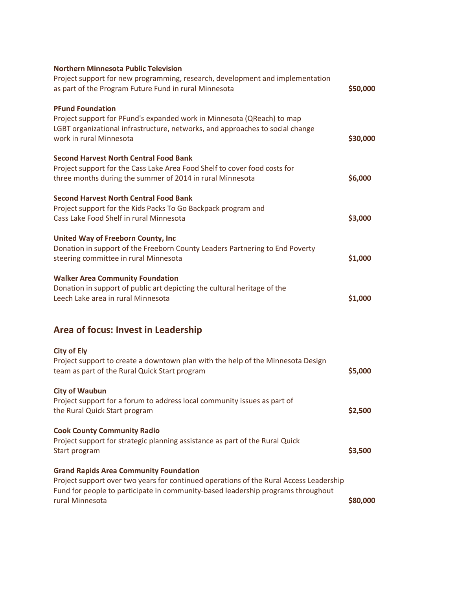| <b>Northern Minnesota Public Television</b>                                                                                                                                                                                                    |          |
|------------------------------------------------------------------------------------------------------------------------------------------------------------------------------------------------------------------------------------------------|----------|
| Project support for new programming, research, development and implementation<br>as part of the Program Future Fund in rural Minnesota                                                                                                         | \$50,000 |
| <b>PFund Foundation</b><br>Project support for PFund's expanded work in Minnesota (QReach) to map<br>LGBT organizational infrastructure, networks, and approaches to social change                                                             |          |
| work in rural Minnesota                                                                                                                                                                                                                        | \$30,000 |
| <b>Second Harvest North Central Food Bank</b><br>Project support for the Cass Lake Area Food Shelf to cover food costs for<br>three months during the summer of 2014 in rural Minnesota                                                        | \$6,000  |
| <b>Second Harvest North Central Food Bank</b><br>Project support for the Kids Packs To Go Backpack program and<br>Cass Lake Food Shelf in rural Minnesota                                                                                      | \$3,000  |
| United Way of Freeborn County, Inc<br>Donation in support of the Freeborn County Leaders Partnering to End Poverty<br>steering committee in rural Minnesota                                                                                    | \$1,000  |
| <b>Walker Area Community Foundation</b><br>Donation in support of public art depicting the cultural heritage of the<br>Leech Lake area in rural Minnesota                                                                                      | \$1,000  |
| Area of focus: Invest in Leadership                                                                                                                                                                                                            |          |
| <b>City of Ely</b>                                                                                                                                                                                                                             |          |
| Project support to create a downtown plan with the help of the Minnesota Design<br>team as part of the Rural Quick Start program                                                                                                               | \$5,000  |
| <b>City of Waubun</b>                                                                                                                                                                                                                          |          |
| Project support for a forum to address local community issues as part of<br>the Rural Quick Start program                                                                                                                                      | \$2,500  |
| <b>Cook County Community Radio</b><br>Project support for strategic planning assistance as part of the Rural Quick<br>Start program                                                                                                            | \$3,500  |
| <b>Grand Rapids Area Community Foundation</b><br>Project support over two years for continued operations of the Rural Access Leadership<br>Fund for people to participate in community-based leadership programs throughout<br>rural Minnesota | \$80,000 |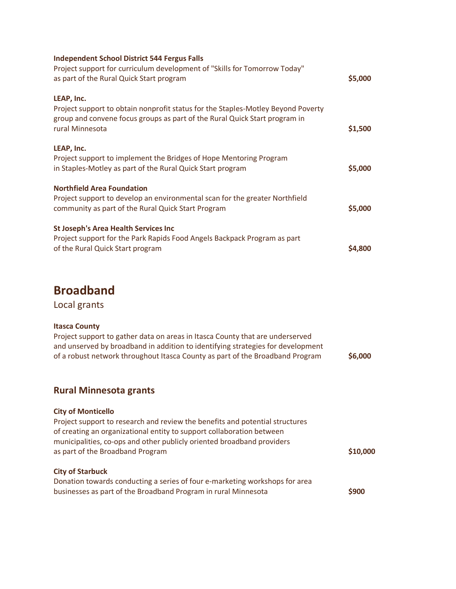| <b>Independent School District 544 Fergus Falls</b><br>Project support for curriculum development of "Skills for Tomorrow Today"<br>as part of the Rural Quick Start program                    | \$5,000       |
|-------------------------------------------------------------------------------------------------------------------------------------------------------------------------------------------------|---------------|
| LEAP, Inc.<br>Project support to obtain nonprofit status for the Staples-Motley Beyond Poverty<br>group and convene focus groups as part of the Rural Quick Start program in<br>rural Minnesota | \$1,500       |
| LEAP, Inc.<br>Project support to implement the Bridges of Hope Mentoring Program<br>in Staples-Motley as part of the Rural Quick Start program                                                  | \$5,000       |
| <b>Northfield Area Foundation</b><br>Project support to develop an environmental scan for the greater Northfield<br>community as part of the Rural Quick Start Program                          | \$5,000       |
| <b>St Joseph's Area Health Services Inc.</b><br>Project support for the Park Rapids Food Angels Backpack Program as part<br>of the Rural Quick Start program                                    | <b>S4.800</b> |

# **Broadband**

Local grants

#### **Itasca County**

| Project support to gather data on areas in Itasca County that are underserved   |         |
|---------------------------------------------------------------------------------|---------|
| and unserved by broadband in addition to identifying strategies for development |         |
| of a robust network throughout Itasca County as part of the Broadband Program   | \$6,000 |

### **Rural Minnesota grants**

| <b>City of Monticello</b><br>Project support to research and review the benefits and potential structures<br>of creating an organizational entity to support collaboration between<br>municipalities, co-ops and other publicly oriented broadband providers |          |
|--------------------------------------------------------------------------------------------------------------------------------------------------------------------------------------------------------------------------------------------------------------|----------|
| as part of the Broadband Program                                                                                                                                                                                                                             | \$10,000 |
| <b>City of Starbuck</b><br>Donation towards conducting a series of four e-marketing workshops for area<br>businesses as part of the Broadband Program in rural Minnesota                                                                                     | \$900    |